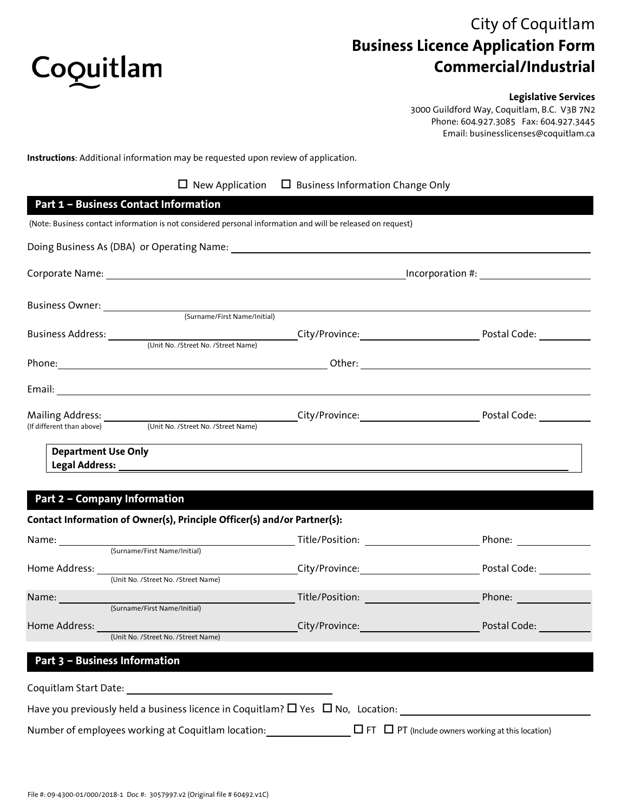

# City of Coquitlam **Business Licence Application Form Commercial/Industrial**

#### **Legislative Services**

3000 Guildford Way, Coquitlam, B.C. V3B 7N2 Phone: 604.927.3085 Fax: 604.927.3445 Email: businesslicenses@coquitlam.ca

**Instructions**: Additional information may be requested upon review of application.

| $\Box$ New Application | $\Box$ Business Information Change Only |
|------------------------|-----------------------------------------|
|------------------------|-----------------------------------------|

#### **Part 1 – Business Contact Information**

(Note: Business contact information is not considered personal information and will be released on request)

|                                      |                                                               |                                                                                                               | Incorporation #:          |
|--------------------------------------|---------------------------------------------------------------|---------------------------------------------------------------------------------------------------------------|---------------------------|
|                                      |                                                               |                                                                                                               |                           |
|                                      | (Surname/First Name/Initial)                                  |                                                                                                               |                           |
| Business Address: <u>___________</u> |                                                               |                                                                                                               | Postal Code:              |
|                                      | (Unit No. /Street No. /Street Name)                           |                                                                                                               |                           |
|                                      |                                                               |                                                                                                               |                           |
|                                      |                                                               |                                                                                                               |                           |
|                                      |                                                               | City/Province: University of the City of the City of the City of the City of the City of the City of the City | Postal Code: North States |
|                                      | (If different than above) (Unit No. /Street No. /Street Name) |                                                                                                               |                           |

### **Part 2 – Company Information**

|               | Contact Information of Owner(s), Principle Officer(s) and/or Partner(s):     |                                                                                                                  |                                                                                                                |
|---------------|------------------------------------------------------------------------------|------------------------------------------------------------------------------------------------------------------|----------------------------------------------------------------------------------------------------------------|
| Name:         |                                                                              | Title/Position:                                                                                                  | Phone: the control of the control of the control of the control of the control of the control of the control o |
|               | (Surname/First Name/Initial)                                                 |                                                                                                                  |                                                                                                                |
|               |                                                                              |                                                                                                                  | Postal Code:                                                                                                   |
|               | (Unit No. /Street No. /Street Name)                                          |                                                                                                                  |                                                                                                                |
|               | Name: (Surname/First Name/Initial)                                           |                                                                                                                  | Phone: <u>________</u>                                                                                         |
|               |                                                                              |                                                                                                                  |                                                                                                                |
| Home Address: | <u> 1999 - Johann Barnett, mars f</u><br>(Unit No. /Street No. /Street Name) | City/Province: And Allen and Allen and Allen and Allen                                                           | Postal Code:                                                                                                   |
|               |                                                                              |                                                                                                                  |                                                                                                                |
|               | Part 3 - Business Information                                                |                                                                                                                  |                                                                                                                |
|               |                                                                              |                                                                                                                  |                                                                                                                |
|               |                                                                              | Have you previously held a business licence in Coquitlam? $\square$ Yes $\square$ No, Location:                  |                                                                                                                |
|               |                                                                              | Number of employees working at Coquitlam location: $\Box$ FT $\Box$ PT (Include owners working at this location) |                                                                                                                |
|               |                                                                              |                                                                                                                  |                                                                                                                |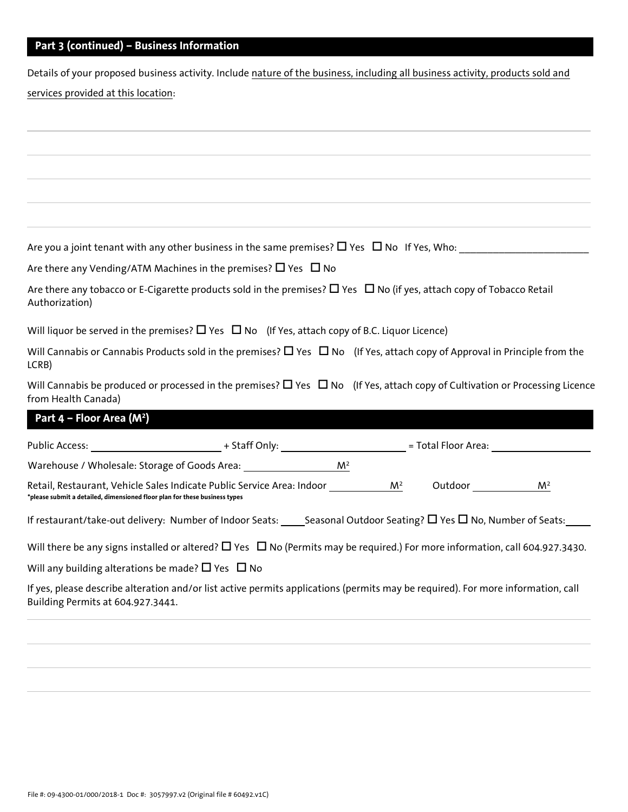## **Part 3 (continued) – Business Information**

Details of your proposed business activity. Include nature of the business, including all business activity, products sold and services provided at this location:

Are you a joint tenant with any other business in the same premises? Yes No If Yes, Who: \_\_\_\_\_\_\_\_\_\_\_\_\_\_\_\_\_\_\_\_\_\_\_

Are there any Vending/ATM Machines in the premises?  $\Box$  Yes  $\Box$  No

Are there any tobacco or E-Cigarette products sold in the premises?  $\Box$  Yes  $\Box$  No (if yes, attach copy of Tobacco Retail Authorization)

Will liquor be served in the premises?  $\Box$  Yes  $\Box$  No (If Yes, attach copy of B.C. Liquor Licence)

Will Cannabis or Cannabis Products sold in the premises?  $\Box$  Yes  $\Box$  No (If Yes, attach copy of Approval in Principle from the LCRB)

Will Cannabis be produced or processed in the premises?  $\Box$  Yes  $\Box$  No (If Yes, attach copy of Cultivation or Processing Licence from Health Canada)

# **Part 4 – Floor Area (M2)**

| Public Access: The Contract of The Contract of The Contract of The Contract of The Contract of The Contract of The Contract of The Contract of The Contract of The Contract of The Contract of The Contract of The Contract of | + Staff Only: The Staff Only:                                                                                                          |                | = Total Floor Area: |                |
|--------------------------------------------------------------------------------------------------------------------------------------------------------------------------------------------------------------------------------|----------------------------------------------------------------------------------------------------------------------------------------|----------------|---------------------|----------------|
| Warehouse / Wholesale: Storage of Goods Area:                                                                                                                                                                                  | $M^2$                                                                                                                                  |                |                     |                |
| *please submit a detailed, dimensioned floor plan for these business types                                                                                                                                                     | Retail, Restaurant, Vehicle Sales Indicate Public Service Area: Indoor                                                                 | M <sup>2</sup> | Outdoor             | M <sup>2</sup> |
|                                                                                                                                                                                                                                | If restaurant/take-out delivery: Number of Indoor Seats: Seasonal Outdoor Seating? $\square$ Yes $\square$ No, Number of Seats:        |                |                     |                |
|                                                                                                                                                                                                                                | Will there be any signs installed or altered? $\Box$ Yes $\Box$ No (Permits may be required.) For more information, call 604.927.3430. |                |                     |                |
| Will any building alterations be made? $\square$ Yes $\square$ No                                                                                                                                                              |                                                                                                                                        |                |                     |                |
| Building Permits at 604.927.3441.                                                                                                                                                                                              | If yes, please describe alteration and/or list active permits applications (permits may be required). For more information, call       |                |                     |                |